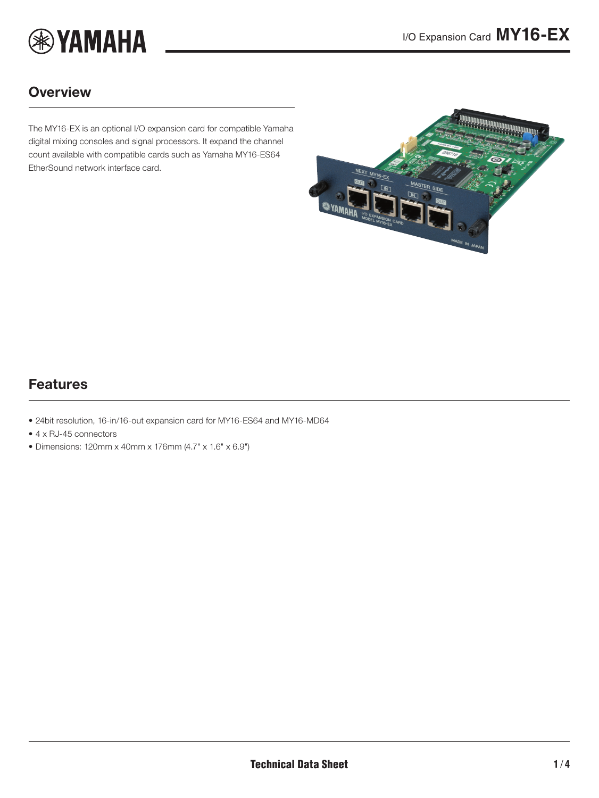

### **Overview**

The MY16-EX is an optional I/O expansion card for compatible Yamaha digital mixing consoles and signal processors. It expand the channel count available with compatible cards such as Yamaha MY16-ES64 EtherSound network interface card.

<span id="page-0-0"></span>

## Features

- 24bit resolution, 16-in/16-out expansion card for MY16-ES64 and MY16-MD64
- 4 x RJ-45 connectors
- Dimensions: 120mm x 40mm x 176mm (4.7" x 1.6" x 6.9")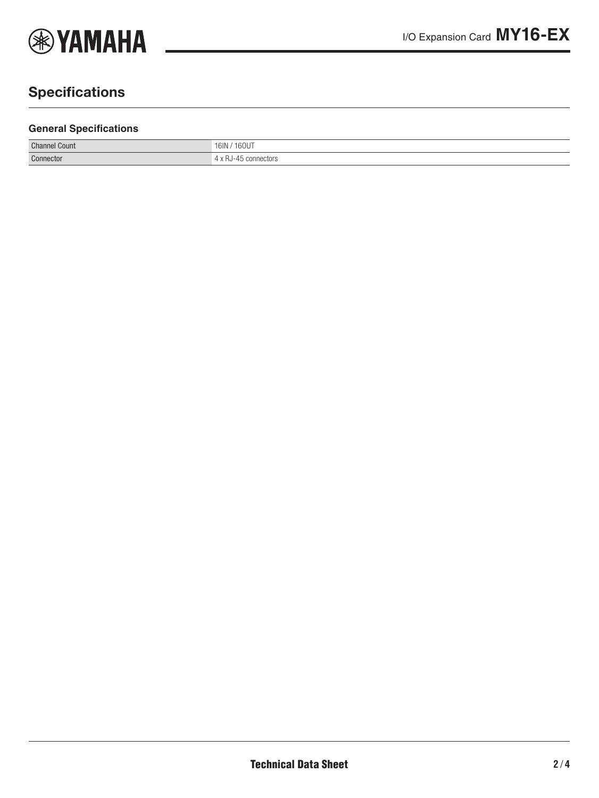

# **Specifications**

#### **General Specifications**

| <b>Channel Count</b> | /160UT<br>16IN<br>. |
|----------------------|---------------------|
| Connector            | connectors          |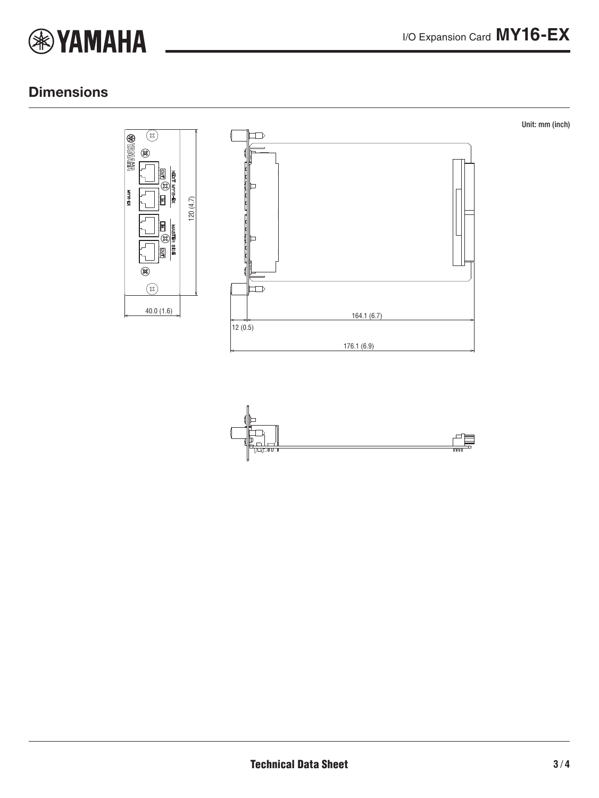

### **Dimensions**